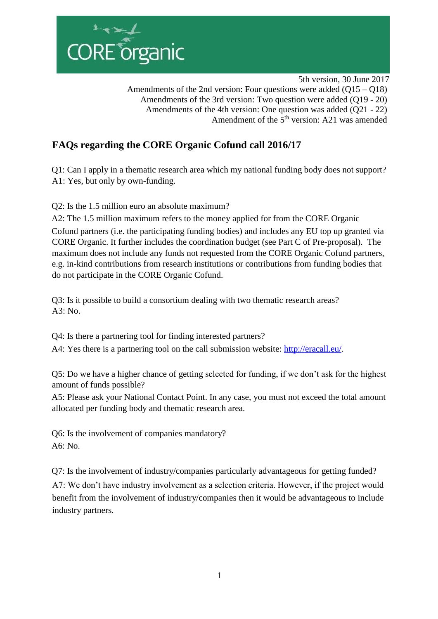

 5th version, 30 June 2017 Amendments of the 2nd version: Four questions were added (Q15 – Q18) Amendments of the 3rd version: Two question were added (Q19 - 20) Amendments of the 4th version: One question was added (Q21 - 22) Amendment of the 5<sup>th</sup> version: A21 was amended

 $\overline{\phantom{a}}$ 

## **FAQs regarding the CORE Organic Cofund call 2016/17**

Q1: Can I apply in a thematic research area which my national funding body does not support? A1: Yes, but only by own-funding.

Q2: Is the 1.5 million euro an absolute maximum?

A2: The 1.5 million maximum refers to the money applied for from the CORE Organic Cofund partners (i.e. the participating funding bodies) and includes any EU top up granted via CORE Organic. It further includes the coordination budget (see Part C of Pre-proposal). The maximum does not include any funds not requested from the CORE Organic Cofund partners, e.g. in-kind contributions from research institutions or contributions from funding bodies that do not participate in the CORE Organic Cofund.

Q3: Is it possible to build a consortium dealing with two thematic research areas?  $A3: No.$ 

Q4: Is there a partnering tool for finding interested partners?

A4: Yes there is a partnering tool on the call submission website: [http://eracall.eu/.](http://eracall.eu/) 

Q5: Do we have a higher chance of getting selected for funding, if we don't ask for the highest amount of funds possible?

A5: Please ask your National Contact Point. In any case, you must not exceed the total amount allocated per funding body and thematic research area.

Q6: Is the involvement of companies mandatory? A6: No.

Q7: Is the involvement of industry/companies particularly advantageous for getting funded?

A7: We don't have industry involvement as a selection criteria. However, if the project would benefit from the involvement of industry/companies then it would be advantageous to include industry partners.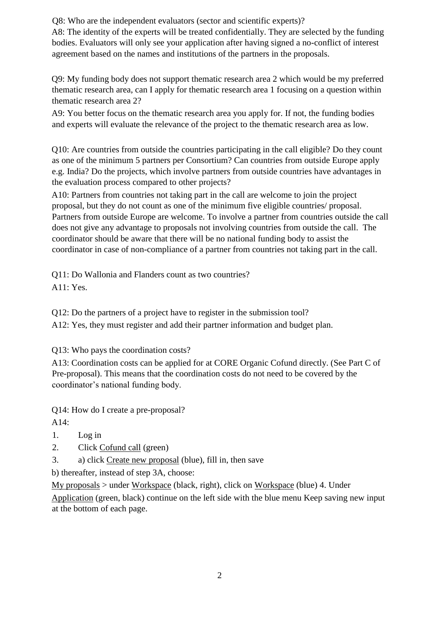Q8: Who are the independent evaluators (sector and scientific experts)?

A8: The identity of the experts will be treated confidentially. They are selected by the funding bodies. Evaluators will only see your application after having signed a no-conflict of interest agreement based on the names and institutions of the partners in the proposals.

Q9: My funding body does not support thematic research area 2 which would be my preferred thematic research area, can I apply for thematic research area 1 focusing on a question within thematic research area 2?

A9: You better focus on the thematic research area you apply for. If not, the funding bodies and experts will evaluate the relevance of the project to the thematic research area as low.

Q10: Are countries from outside the countries participating in the call eligible? Do they count as one of the minimum 5 partners per Consortium? Can countries from outside Europe apply e.g. India? Do the projects, which involve partners from outside countries have advantages in the evaluation process compared to other projects?

A10: Partners from countries not taking part in the call are welcome to join the project proposal, but they do not count as one of the minimum five eligible countries/ proposal. Partners from outside Europe are welcome. To involve a partner from countries outside the call does not give any advantage to proposals not involving countries from outside the call. The coordinator should be aware that there will be no national funding body to assist the coordinator in case of non-compliance of a partner from countries not taking part in the call.

Q11: Do Wallonia and Flanders count as two countries? A11: Yes.

Q12: Do the partners of a project have to register in the submission tool?

A12: Yes, they must register and add their partner information and budget plan.

Q13: Who pays the coordination costs?

A13: Coordination costs can be applied for at CORE Organic Cofund directly. (See Part C of Pre-proposal). This means that the coordination costs do not need to be covered by the coordinator's national funding body.

Q14: How do I create a pre-proposal?

A14:

- 1. Log in
- 2. Click Cofund call (green)
- 3. a) click Create new proposal (blue), fill in, then save

b) thereafter, instead of step 3A, choose:

My proposals > under Workspace (black, right), click on Workspace (blue) 4. Under Application (green, black) continue on the left side with the blue menu Keep saving new input at the bottom of each page.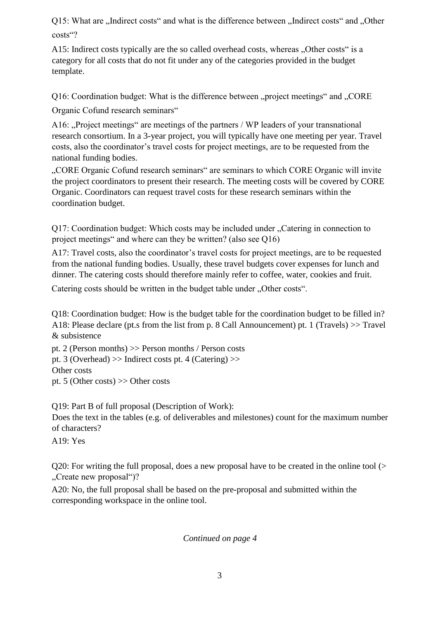Q15: What are "Indirect costs" and what is the difference between "Indirect costs" and "Other costs"?

A15: Indirect costs typically are the so called overhead costs, whereas "Other costs" is a category for all costs that do not fit under any of the categories provided in the budget template.

Q16: Coordination budget: What is the difference between "project meetings" and "CORE

Organic Cofund research seminars"

A16: "Project meetings" are meetings of the partners / WP leaders of your transnational research consortium. In a 3-year project, you will typically have one meeting per year. Travel costs, also the coordinator's travel costs for project meetings, are to be requested from the national funding bodies.

"CORE Organic Cofund research seminars" are seminars to which CORE Organic will invite the project coordinators to present their research. The meeting costs will be covered by CORE Organic. Coordinators can request travel costs for these research seminars within the coordination budget.

Q17: Coordination budget: Which costs may be included under "Catering in connection to project meetings" and where can they be written? (also see Q16)

A17: Travel costs, also the coordinator's travel costs for project meetings, are to be requested from the national funding bodies. Usually, these travel budgets cover expenses for lunch and dinner. The catering costs should therefore mainly refer to coffee, water, cookies and fruit.

Catering costs should be written in the budget table under "Other costs".

Q18: Coordination budget: How is the budget table for the coordination budget to be filled in? A18: Please declare (pt.s from the list from p. 8 Call Announcement) pt. 1 (Travels) >> Travel & subsistence

pt. 2 (Person months) >> Person months / Person costs pt. 3 (Overhead) >> Indirect costs pt. 4 (Catering) >> Other costs pt. 5 (Other costs) >> Other costs

Q19: Part B of full proposal (Description of Work):

Does the text in the tables (e.g. of deliverables and milestones) count for the maximum number of characters?

A19: Yes

Q20: For writing the full proposal, does a new proposal have to be created in the online tool (> "Create new proposal")?

A20: No, the full proposal shall be based on the pre-proposal and submitted within the corresponding workspace in the online tool.

*Continued on page 4*